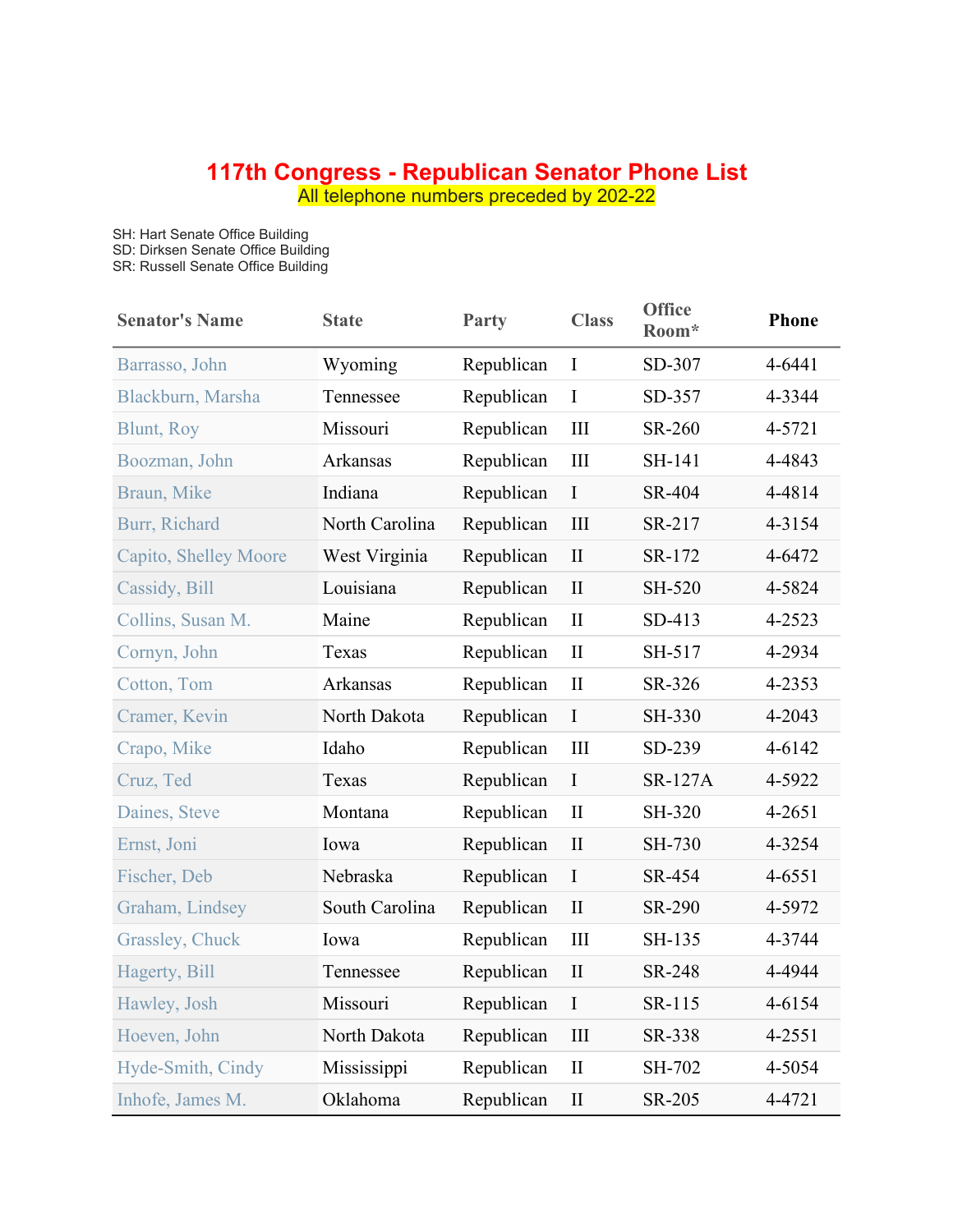## **117th Congress - Republican Senator Phone List**

All telephone numbers preceded by 202-22

SH: Hart Senate Office Building

SD: Dirksen Senate Office Building

SR: Russell Senate Office Building

| <b>Senator's Name</b> | <b>State</b>   | <b>Party</b> | <b>Class</b>                | <b>Office</b><br>Room* | <b>Phone</b> |
|-----------------------|----------------|--------------|-----------------------------|------------------------|--------------|
| Barrasso, John        | Wyoming        | Republican   | $\mathbf I$                 | SD-307                 | 4-6441       |
| Blackburn, Marsha     | Tennessee      | Republican   | $\mathbf I$                 | SD-357                 | 4-3344       |
| <b>Blunt, Roy</b>     | Missouri       | Republican   | III                         | SR-260                 | 4-5721       |
| Boozman, John         | Arkansas       | Republican   | III                         | SH-141                 | 4-4843       |
| Braun, Mike           | Indiana        | Republican   | $\mathbf I$                 | SR-404                 | 4-4814       |
| Burr, Richard         | North Carolina | Republican   | III                         | SR-217                 | 4-3154       |
| Capito, Shelley Moore | West Virginia  | Republican   | $\mathbf{I}$                | SR-172                 | 4-6472       |
| Cassidy, Bill         | Louisiana      | Republican   | $\mathbf{I}$                | SH-520                 | 4-5824       |
| Collins, Susan M.     | Maine          | Republican   | $\mathbf{I}$                | SD-413                 | 4-2523       |
| Cornyn, John          | Texas          | Republican   | $\mathbf{I}$                | SH-517                 | 4-2934       |
| Cotton, Tom           | Arkansas       | Republican   | $\mathbf{I}$                | SR-326                 | 4-2353       |
| Cramer, Kevin         | North Dakota   | Republican   | $\mathbf I$                 | SH-330                 | 4-2043       |
| Crapo, Mike           | Idaho          | Republican   | III                         | SD-239                 | 4-6142       |
| Cruz, Ted             | Texas          | Republican   | $\bf I$                     | <b>SR-127A</b>         | 4-5922       |
| Daines, Steve         | Montana        | Republican   | $\mathbf{I}$                | SH-320                 | 4-2651       |
| Ernst, Joni           | Iowa           | Republican   | $\mathbf{I}$                | SH-730                 | 4-3254       |
| Fischer, Deb          | Nebraska       | Republican   | $\mathbf I$                 | SR-454                 | 4-6551       |
| Graham, Lindsey       | South Carolina | Republican   | $\mathbf{I}$                | SR-290                 | 4-5972       |
| Grassley, Chuck       | Iowa           | Republican   | III                         | SH-135                 | 4-3744       |
| Hagerty, Bill         | Tennessee      | Republican   | $\rm II$                    | SR-248                 | 4-4944       |
| Hawley, Josh          | Missouri       | Republican   | $\mathbf I$                 | SR-115                 | 4-6154       |
| Hoeven, John          | North Dakota   | Republican   | $\mathop{\rm III}\nolimits$ | SR-338                 | 4-2551       |
| Hyde-Smith, Cindy     | Mississippi    | Republican   | $\mathbf{I}$                | SH-702                 | 4-5054       |
| Inhofe, James M.      | Oklahoma       | Republican   | $\mathbf{I}$                | SR-205                 | 4-4721       |